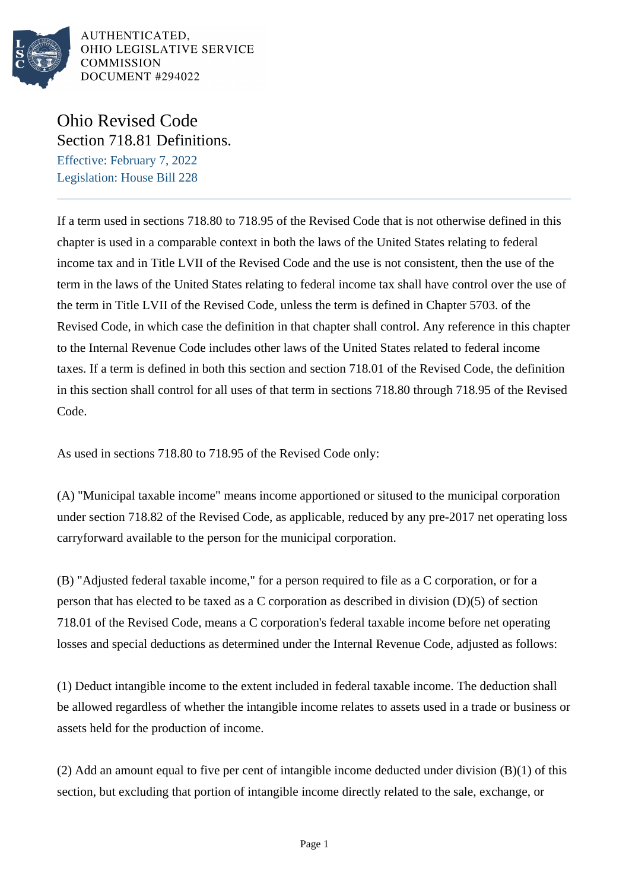

AUTHENTICATED. OHIO LEGISLATIVE SERVICE **COMMISSION** DOCUMENT #294022

## Ohio Revised Code Section 718.81 Definitions.

Effective: February 7, 2022 Legislation: House Bill 228

If a term used in sections 718.80 to 718.95 of the Revised Code that is not otherwise defined in this chapter is used in a comparable context in both the laws of the United States relating to federal income tax and in Title LVII of the Revised Code and the use is not consistent, then the use of the term in the laws of the United States relating to federal income tax shall have control over the use of the term in Title LVII of the Revised Code, unless the term is defined in Chapter 5703. of the Revised Code, in which case the definition in that chapter shall control. Any reference in this chapter to the Internal Revenue Code includes other laws of the United States related to federal income taxes. If a term is defined in both this section and section 718.01 of the Revised Code, the definition in this section shall control for all uses of that term in sections 718.80 through 718.95 of the Revised Code.

As used in sections 718.80 to 718.95 of the Revised Code only:

(A) "Municipal taxable income" means income apportioned or sitused to the municipal corporation under section 718.82 of the Revised Code, as applicable, reduced by any pre-2017 net operating loss carryforward available to the person for the municipal corporation.

(B) "Adjusted federal taxable income," for a person required to file as a C corporation, or for a person that has elected to be taxed as a C corporation as described in division (D)(5) of section 718.01 of the Revised Code, means a C corporation's federal taxable income before net operating losses and special deductions as determined under the Internal Revenue Code, adjusted as follows:

(1) Deduct intangible income to the extent included in federal taxable income. The deduction shall be allowed regardless of whether the intangible income relates to assets used in a trade or business or assets held for the production of income.

(2) Add an amount equal to five per cent of intangible income deducted under division  $(B)(1)$  of this section, but excluding that portion of intangible income directly related to the sale, exchange, or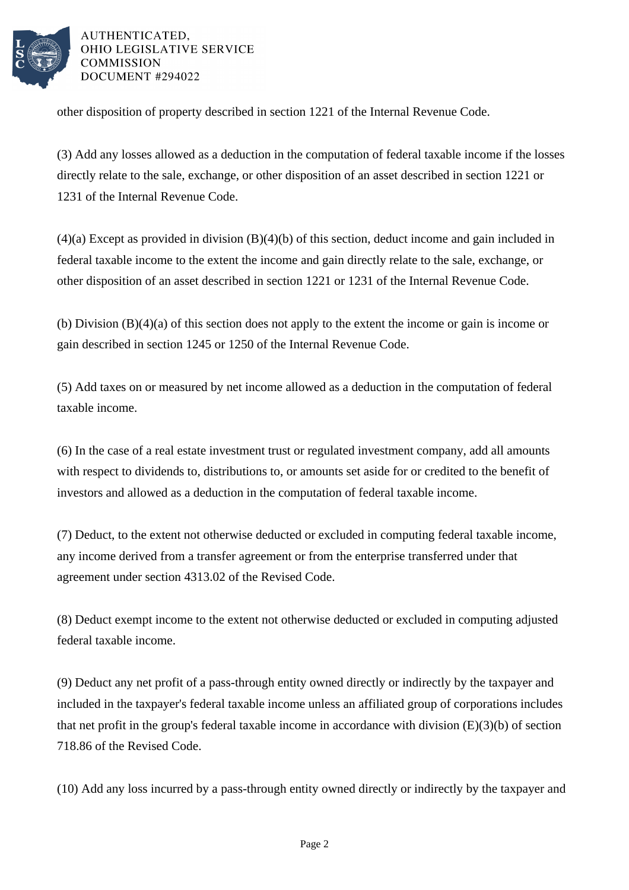

AUTHENTICATED. OHIO LEGISLATIVE SERVICE **COMMISSION** DOCUMENT #294022

other disposition of property described in section 1221 of the Internal Revenue Code.

(3) Add any losses allowed as a deduction in the computation of federal taxable income if the losses directly relate to the sale, exchange, or other disposition of an asset described in section 1221 or 1231 of the Internal Revenue Code.

(4)(a) Except as provided in division (B)(4)(b) of this section, deduct income and gain included in federal taxable income to the extent the income and gain directly relate to the sale, exchange, or other disposition of an asset described in section 1221 or 1231 of the Internal Revenue Code.

(b) Division (B)(4)(a) of this section does not apply to the extent the income or gain is income or gain described in section 1245 or 1250 of the Internal Revenue Code.

(5) Add taxes on or measured by net income allowed as a deduction in the computation of federal taxable income.

(6) In the case of a real estate investment trust or regulated investment company, add all amounts with respect to dividends to, distributions to, or amounts set aside for or credited to the benefit of investors and allowed as a deduction in the computation of federal taxable income.

(7) Deduct, to the extent not otherwise deducted or excluded in computing federal taxable income, any income derived from a transfer agreement or from the enterprise transferred under that agreement under section 4313.02 of the Revised Code.

(8) Deduct exempt income to the extent not otherwise deducted or excluded in computing adjusted federal taxable income.

(9) Deduct any net profit of a pass-through entity owned directly or indirectly by the taxpayer and included in the taxpayer's federal taxable income unless an affiliated group of corporations includes that net profit in the group's federal taxable income in accordance with division (E)(3)(b) of section 718.86 of the Revised Code.

(10) Add any loss incurred by a pass-through entity owned directly or indirectly by the taxpayer and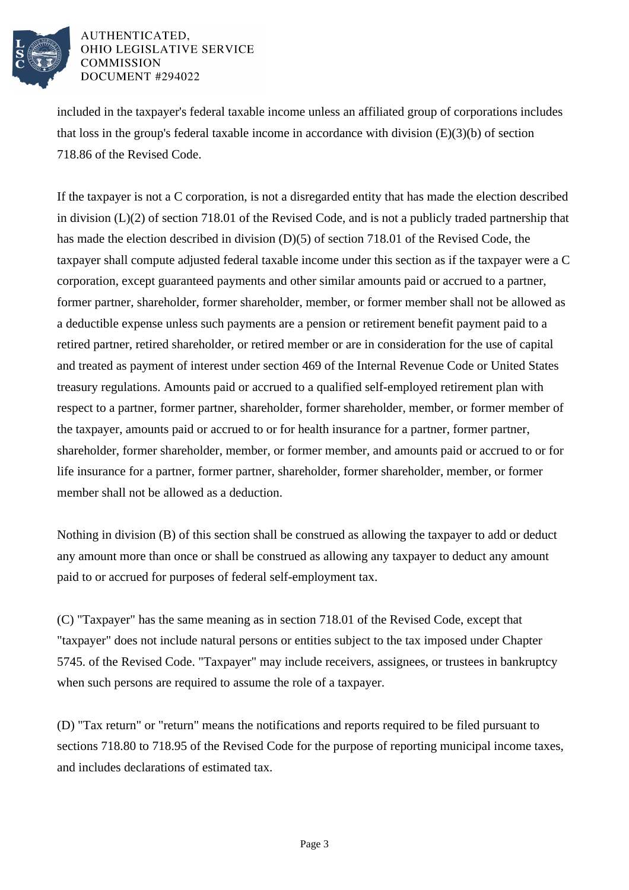

## AUTHENTICATED. OHIO LEGISLATIVE SERVICE **COMMISSION** DOCUMENT #294022

included in the taxpayer's federal taxable income unless an affiliated group of corporations includes that loss in the group's federal taxable income in accordance with division  $(E)(3)(b)$  of section 718.86 of the Revised Code.

If the taxpayer is not a C corporation, is not a disregarded entity that has made the election described in division (L)(2) of section 718.01 of the Revised Code, and is not a publicly traded partnership that has made the election described in division (D)(5) of section 718.01 of the Revised Code, the taxpayer shall compute adjusted federal taxable income under this section as if the taxpayer were a C corporation, except guaranteed payments and other similar amounts paid or accrued to a partner, former partner, shareholder, former shareholder, member, or former member shall not be allowed as a deductible expense unless such payments are a pension or retirement benefit payment paid to a retired partner, retired shareholder, or retired member or are in consideration for the use of capital and treated as payment of interest under section 469 of the Internal Revenue Code or United States treasury regulations. Amounts paid or accrued to a qualified self-employed retirement plan with respect to a partner, former partner, shareholder, former shareholder, member, or former member of the taxpayer, amounts paid or accrued to or for health insurance for a partner, former partner, shareholder, former shareholder, member, or former member, and amounts paid or accrued to or for life insurance for a partner, former partner, shareholder, former shareholder, member, or former member shall not be allowed as a deduction.

Nothing in division (B) of this section shall be construed as allowing the taxpayer to add or deduct any amount more than once or shall be construed as allowing any taxpayer to deduct any amount paid to or accrued for purposes of federal self-employment tax.

(C) "Taxpayer" has the same meaning as in section 718.01 of the Revised Code, except that "taxpayer" does not include natural persons or entities subject to the tax imposed under Chapter 5745. of the Revised Code. "Taxpayer" may include receivers, assignees, or trustees in bankruptcy when such persons are required to assume the role of a taxpayer.

(D) "Tax return" or "return" means the notifications and reports required to be filed pursuant to sections 718.80 to 718.95 of the Revised Code for the purpose of reporting municipal income taxes, and includes declarations of estimated tax.